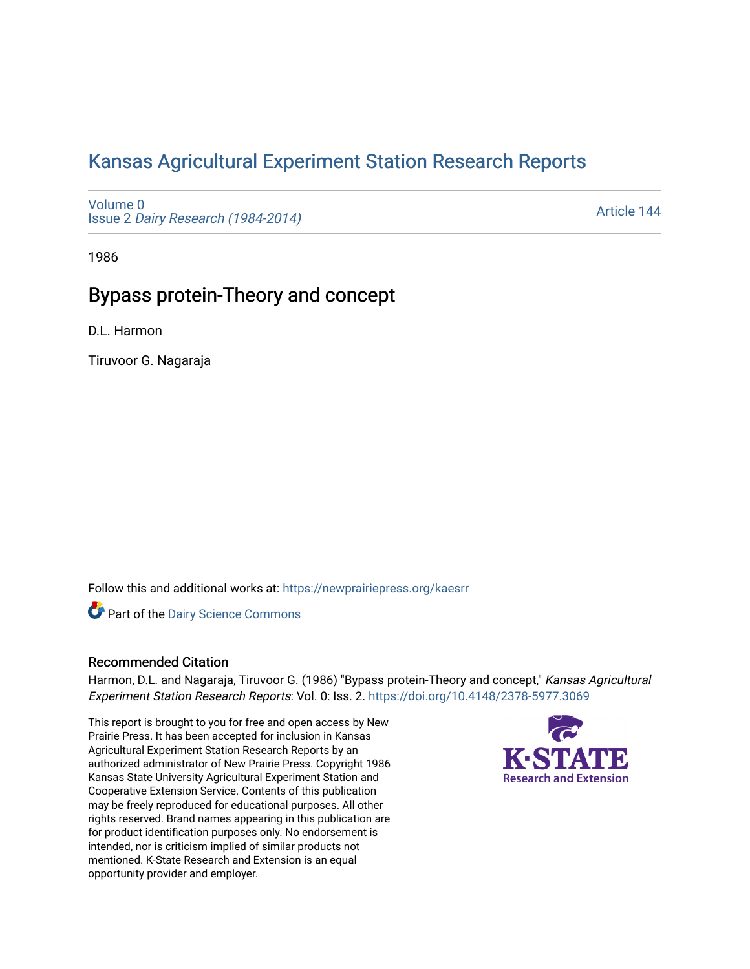# [Kansas Agricultural Experiment Station Research Reports](https://newprairiepress.org/kaesrr)

[Volume 0](https://newprairiepress.org/kaesrr/vol0) Issue 2 [Dairy Research \(1984-2014\)](https://newprairiepress.org/kaesrr/vol0/iss2) 

[Article 144](https://newprairiepress.org/kaesrr/vol0/iss2/144) 

1986

## Bypass protein-Theory and concept

D.L. Harmon

Tiruvoor G. Nagaraja

Follow this and additional works at: [https://newprairiepress.org/kaesrr](https://newprairiepress.org/kaesrr?utm_source=newprairiepress.org%2Fkaesrr%2Fvol0%2Fiss2%2F144&utm_medium=PDF&utm_campaign=PDFCoverPages) 

**Part of the Dairy Science Commons** 

### Recommended Citation

Harmon, D.L. and Nagaraja, Tiruvoor G. (1986) "Bypass protein-Theory and concept," Kansas Agricultural Experiment Station Research Reports: Vol. 0: Iss. 2. <https://doi.org/10.4148/2378-5977.3069>

This report is brought to you for free and open access by New Prairie Press. It has been accepted for inclusion in Kansas Agricultural Experiment Station Research Reports by an authorized administrator of New Prairie Press. Copyright 1986 Kansas State University Agricultural Experiment Station and Cooperative Extension Service. Contents of this publication may be freely reproduced for educational purposes. All other rights reserved. Brand names appearing in this publication are for product identification purposes only. No endorsement is intended, nor is criticism implied of similar products not mentioned. K-State Research and Extension is an equal opportunity provider and employer.

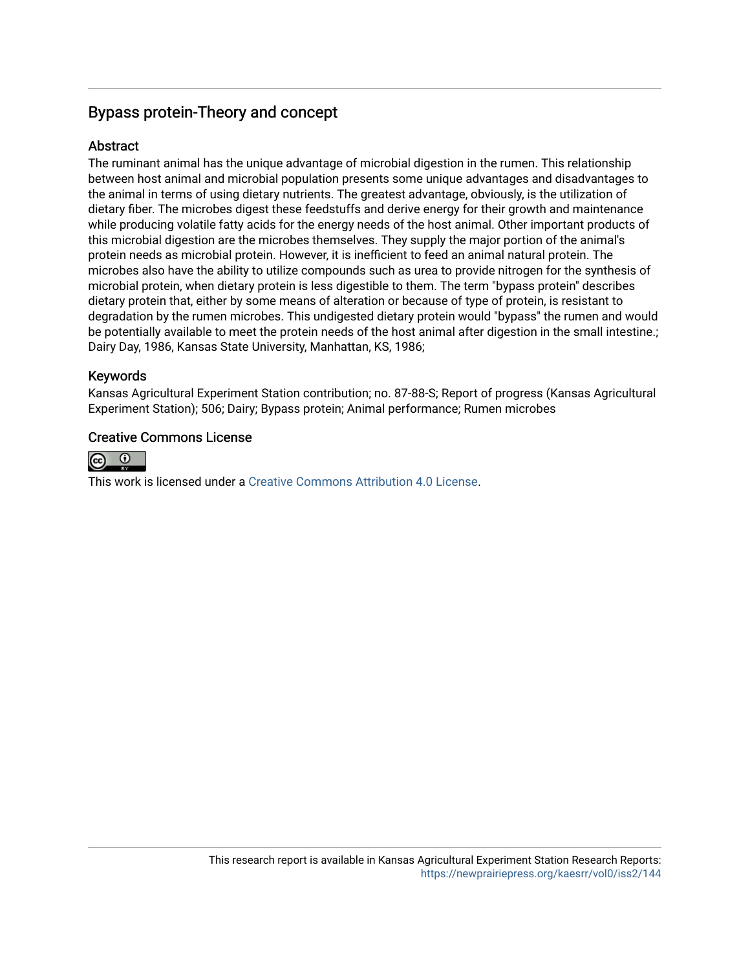## Bypass protein-Theory and concept

### **Abstract**

The ruminant animal has the unique advantage of microbial digestion in the rumen. This relationship between host animal and microbial population presents some unique advantages and disadvantages to the animal in terms of using dietary nutrients. The greatest advantage, obviously, is the utilization of dietary fiber. The microbes digest these feedstuffs and derive energy for their growth and maintenance while producing volatile fatty acids for the energy needs of the host animal. Other important products of this microbial digestion are the microbes themselves. They supply the major portion of the animal's protein needs as microbial protein. However, it is inefficient to feed an animal natural protein. The microbes also have the ability to utilize compounds such as urea to provide nitrogen for the synthesis of microbial protein, when dietary protein is less digestible to them. The term "bypass protein" describes dietary protein that, either by some means of alteration or because of type of protein, is resistant to degradation by the rumen microbes. This undigested dietary protein would "bypass" the rumen and would be potentially available to meet the protein needs of the host animal after digestion in the small intestine.; Dairy Day, 1986, Kansas State University, Manhattan, KS, 1986;

## Keywords

Kansas Agricultural Experiment Station contribution; no. 87-88-S; Report of progress (Kansas Agricultural Experiment Station); 506; Dairy; Bypass protein; Animal performance; Rumen microbes

### Creative Commons License



This work is licensed under a [Creative Commons Attribution 4.0 License](https://creativecommons.org/licenses/by/4.0/).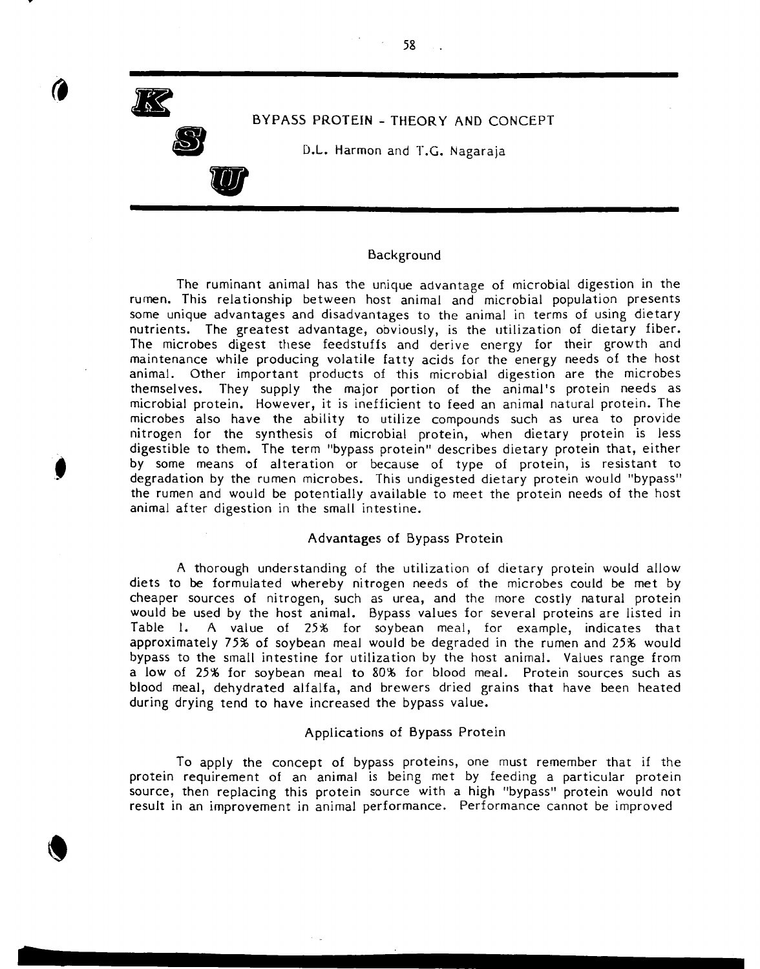

#### Background

58

The ruminant animal has the unique advantage of microbial digestion in the rumen. This relationship between host animal and microbial population presents some unique advantages and disadvantages to the animal in terms of using dietary nutrients. The greatest advantage, obviously, is the utilization of dietary fiber. The microbes digest these feedstuffs and derive energy for their growth and maintenance while producing volatile fatty acids for the energy needs of the host animal. Other important products of this microbial digestion are the microbes themselves. They supply the major portion of the animal's protein needs as microbial protein. However, it is inefficient to feed an animal natural protein. The microbes also have the ability to utilize compounds such as urea to provide nitrogen for the synthesis of microbial protein, when dietary protein is less digestible to them. The term "bypass protein" describes dietary protein that, either by some means of alteration or because of type of protein, is resistant to degradation by the rumen microbes. This undigested dietary protein would "bypass" the rumen and would be potentially available to meet the protein needs of the host animal after digestion in the small intestine.

#### Advantages of Bypass Protein

A thorough understanding of the utilization of dietary protein would allow diets to be formulated whereby nitrogen needs of the microbes could be met by cheaper sources of nitrogen, such as urea, and the more costly natural protein would be used by the host animal. Bypass values for several proteins are listed in<br>Table 1. A value of 25% for soybean meal, for example, indicates that A value of 25% for soybean meal, for example, indicates that approximately 75% of soybean meal would be degraded in the rumen and 25% would bypass to the small intestine for utilization by the host animal. Values range from a low of 25% for soybean meal to 80% for blood meal. Protein sources such as blood meal, dehydrated alfalfa, and brewers dried grains that have been heated during drying tend to have increased the bypass value.

#### Applications of Bypass Protein

To apply the concept of bypass proteins, one must remember that if the protein requirement of an animal is being met by feeding a particular protein source, then replacing this protein source with a high "bypass" protein would not result in an improvement in animal performance. Performance cannot be improved